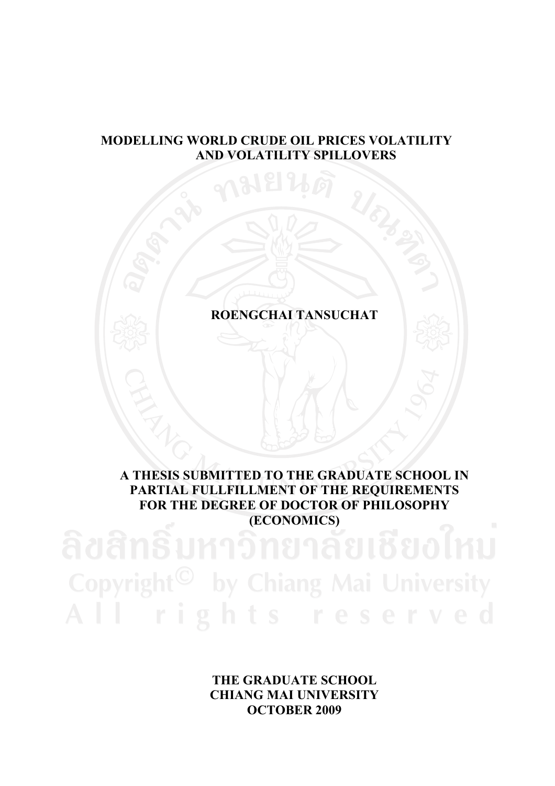## **MODELLING WORLD CRUDE OIL PRICES VOLATILITY AND VOLATILITY SPILLOVERS**

# **ROENGCHAI TANSUCHAT**

# **A THESIS SUBMITTED TO THE GRADUATE SCHOOL IN PARTIAL FULLFILLMENT OF THE REQUIREMENTS FOR THE DEGREE OF DOCTOR OF PHILOSOPHY (ECONOMICS)**

**THE GRADUATE SCHOOL CHIANG MAI UNIVERSITY OCTOBER 2009**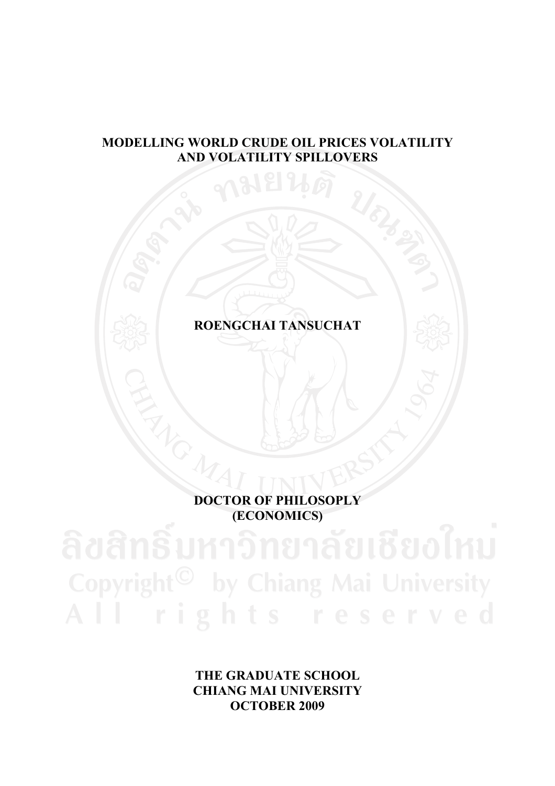## **MODELLING WORLD CRUDE OIL PRICES VOLATILITY AND VOLATILITY SPILLOVERS**

# **ROENGCHAI TANSUCHAT**

# **DOCTOR OF PHILOSOPLY (ECONOMICS)**

**THE GRADUATE SCHOOL CHIANG MAI UNIVERSITY OCTOBER 2009**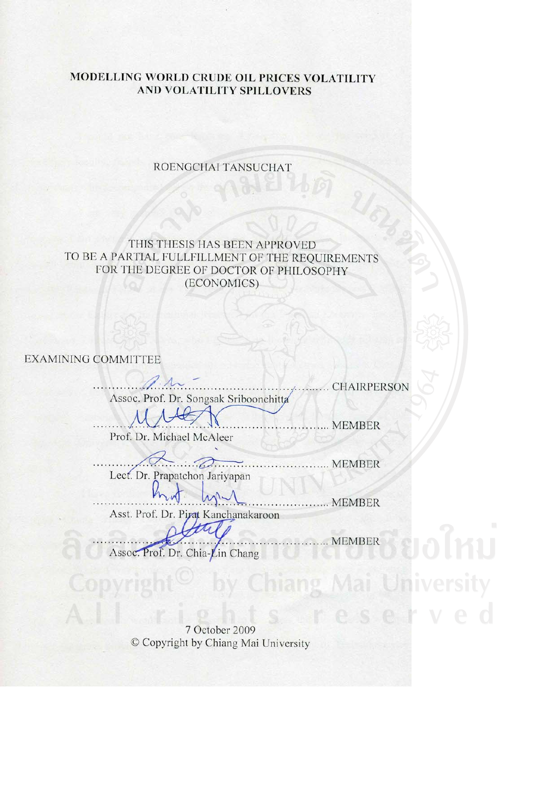### MODELLING WORLD CRUDE OIL PRICES VOLATILITY AND VOLATILITY SPILLOVERS

ROENGCHAI TANSUCHAT

## THIS THESIS HAS BEEN APPROVED TO BE A PARTIAL FULLFILLMENT OF THE REQUIREMENTS FOR THE DEGREE OF DOCTOR OF PHILOSOPHY (ECONOMICS)

**EXAMINING COMMITTEE** 

**CHAIRPERSON** Assoc. Prof. Dr. Songsak Sriboonchitta

.... MEMBER Prof. Dr. Michael McAleer

..... MEMBER Lect. Dr. Prapatchon Jariyapan

........... MEMBER Asst. Prof. Dr. Pirat Kanchanakaroon

........ MEMBER Prof. Dr. Chia-Lin Chang Assoc.

7 October 2009 C Copyright by Chiang Mai University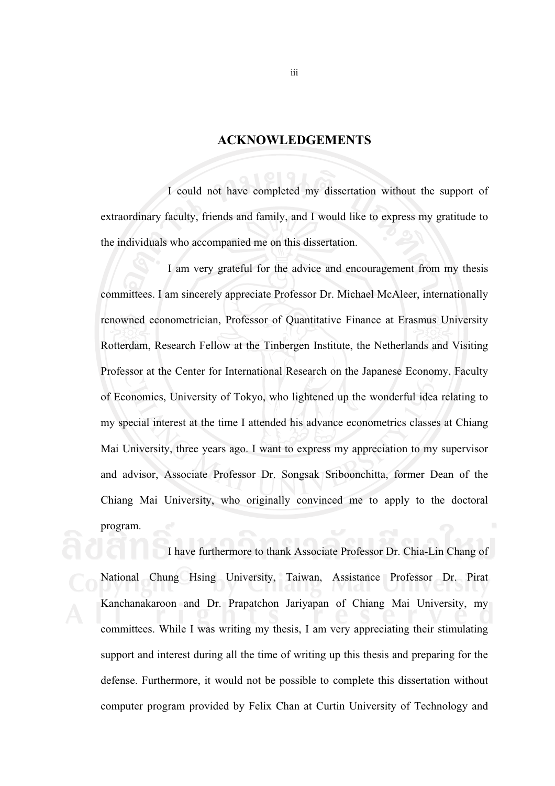#### **ACKNOWLEDGEMENTS**

I could not have completed my dissertation without the support of extraordinary faculty, friends and family, and I would like to express my gratitude to the individuals who accompanied me on this dissertation.

I am very grateful for the advice and encouragement from my thesis committees. I am sincerely appreciate Professor Dr. Michael McAleer, internationally renowned econometrician, Professor of Quantitative Finance at Erasmus University Rotterdam, Research Fellow at the Tinbergen Institute, the Netherlands and Visiting Professor at the Center for International Research on the Japanese Economy, Faculty of Economics, University of Tokyo, who lightened up the wonderful idea relating to my special interest at the time I attended his advance econometrics classes at Chiang Mai University, three years ago. I want to express my appreciation to my supervisor and advisor, Associate Professor Dr. Songsak Sriboonchitta, former Dean of the Chiang Mai University, who originally convinced me to apply to the doctoral program.

I have furthermore to thank Associate Professor Dr. Chia-Lin Chang of National Chung Hsing University, Taiwan, Assistance Professor Dr. Pirat Kanchanakaroon and Dr. Prapatchon Jariyapan of Chiang Mai University, my committees. While I was writing my thesis, I am very appreciating their stimulating support and interest during all the time of writing up this thesis and preparing for the defense. Furthermore, it would not be possible to complete this dissertation without computer program provided by Felix Chan at Curtin University of Technology and

iii